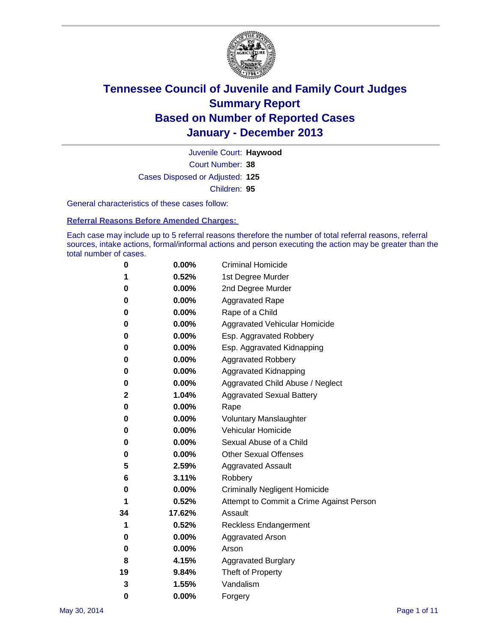

Court Number: **38** Juvenile Court: **Haywood** Cases Disposed or Adjusted: **125** Children: **95**

General characteristics of these cases follow:

**Referral Reasons Before Amended Charges:** 

Each case may include up to 5 referral reasons therefore the number of total referral reasons, referral sources, intake actions, formal/informal actions and person executing the action may be greater than the total number of cases.

| 0  | 0.00%    | <b>Criminal Homicide</b>                 |
|----|----------|------------------------------------------|
| 1  | 0.52%    | 1st Degree Murder                        |
| 0  | 0.00%    | 2nd Degree Murder                        |
| 0  | $0.00\%$ | <b>Aggravated Rape</b>                   |
| 0  | 0.00%    | Rape of a Child                          |
| 0  | 0.00%    | <b>Aggravated Vehicular Homicide</b>     |
| 0  | 0.00%    | Esp. Aggravated Robbery                  |
| 0  | 0.00%    | Esp. Aggravated Kidnapping               |
| 0  | 0.00%    | <b>Aggravated Robbery</b>                |
| 0  | 0.00%    | Aggravated Kidnapping                    |
| 0  | 0.00%    | Aggravated Child Abuse / Neglect         |
| 2  | 1.04%    | <b>Aggravated Sexual Battery</b>         |
| 0  | 0.00%    | Rape                                     |
| 0  | 0.00%    | <b>Voluntary Manslaughter</b>            |
| 0  | 0.00%    | Vehicular Homicide                       |
| 0  | $0.00\%$ | Sexual Abuse of a Child                  |
| 0  | 0.00%    | <b>Other Sexual Offenses</b>             |
| 5  | 2.59%    | <b>Aggravated Assault</b>                |
| 6  | 3.11%    | Robbery                                  |
| 0  | 0.00%    | <b>Criminally Negligent Homicide</b>     |
| 1  | 0.52%    | Attempt to Commit a Crime Against Person |
| 34 | 17.62%   | Assault                                  |
| 1  | 0.52%    | <b>Reckless Endangerment</b>             |
| 0  | 0.00%    | <b>Aggravated Arson</b>                  |
| 0  | $0.00\%$ | Arson                                    |
| 8  | 4.15%    | <b>Aggravated Burglary</b>               |
| 19 | 9.84%    | Theft of Property                        |
| 3  | 1.55%    | Vandalism                                |
| 0  | 0.00%    | Forgery                                  |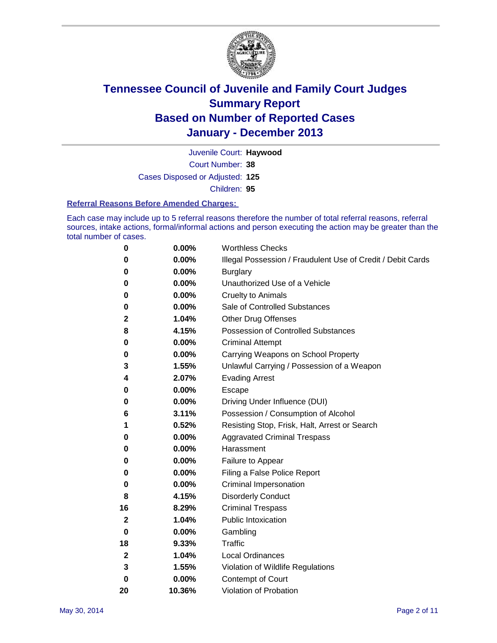

Court Number: **38** Juvenile Court: **Haywood** Cases Disposed or Adjusted: **125** Children: **95**

#### **Referral Reasons Before Amended Charges:**

Each case may include up to 5 referral reasons therefore the number of total referral reasons, referral sources, intake actions, formal/informal actions and person executing the action may be greater than the total number of cases.

| $\boldsymbol{0}$ | 0.00%  | <b>Worthless Checks</b>                                     |
|------------------|--------|-------------------------------------------------------------|
| 0                | 0.00%  | Illegal Possession / Fraudulent Use of Credit / Debit Cards |
| 0                | 0.00%  | <b>Burglary</b>                                             |
| 0                | 0.00%  | Unauthorized Use of a Vehicle                               |
| 0                | 0.00%  | <b>Cruelty to Animals</b>                                   |
| 0                | 0.00%  | Sale of Controlled Substances                               |
| 2                | 1.04%  | <b>Other Drug Offenses</b>                                  |
| 8                | 4.15%  | Possession of Controlled Substances                         |
| 0                | 0.00%  | <b>Criminal Attempt</b>                                     |
| 0                | 0.00%  | Carrying Weapons on School Property                         |
| 3                | 1.55%  | Unlawful Carrying / Possession of a Weapon                  |
| 4                | 2.07%  | <b>Evading Arrest</b>                                       |
| 0                | 0.00%  | Escape                                                      |
| 0                | 0.00%  | Driving Under Influence (DUI)                               |
| 6                | 3.11%  | Possession / Consumption of Alcohol                         |
| 1                | 0.52%  | Resisting Stop, Frisk, Halt, Arrest or Search               |
| 0                | 0.00%  | <b>Aggravated Criminal Trespass</b>                         |
| 0                | 0.00%  | Harassment                                                  |
| 0                | 0.00%  | Failure to Appear                                           |
| 0                | 0.00%  | Filing a False Police Report                                |
| 0                | 0.00%  | Criminal Impersonation                                      |
| 8                | 4.15%  | <b>Disorderly Conduct</b>                                   |
| 16               | 8.29%  | <b>Criminal Trespass</b>                                    |
| 2                | 1.04%  | <b>Public Intoxication</b>                                  |
| 0                | 0.00%  | Gambling                                                    |
| 18               | 9.33%  | Traffic                                                     |
| $\boldsymbol{2}$ | 1.04%  | <b>Local Ordinances</b>                                     |
| 3                | 1.55%  | Violation of Wildlife Regulations                           |
| $\mathbf 0$      | 0.00%  | Contempt of Court                                           |
| 20               | 10.36% | Violation of Probation                                      |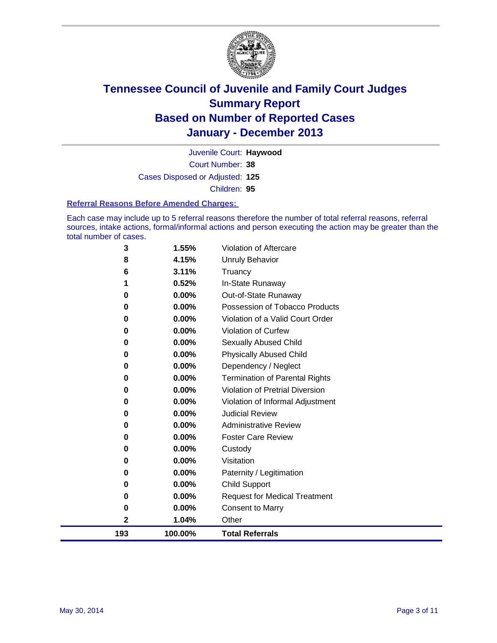

Court Number: **38** Juvenile Court: **Haywood** Cases Disposed or Adjusted: **125** Children: **95**

#### **Referral Reasons Before Amended Charges:**

Each case may include up to 5 referral reasons therefore the number of total referral reasons, referral sources, intake actions, formal/informal actions and person executing the action may be greater than the total number of cases.

| 193 | 100.00% | <b>Total Referrals</b>                 |
|-----|---------|----------------------------------------|
| 2   | 1.04%   | Other                                  |
| 0   | 0.00%   | <b>Consent to Marry</b>                |
| 0   | 0.00%   | <b>Request for Medical Treatment</b>   |
| 0   | 0.00%   | <b>Child Support</b>                   |
| 0   | 0.00%   | Paternity / Legitimation               |
| 0   | 0.00%   | Visitation                             |
| 0   | 0.00%   | Custody                                |
| 0   | 0.00%   | <b>Foster Care Review</b>              |
| 0   | 0.00%   | <b>Administrative Review</b>           |
| 0   | 0.00%   | <b>Judicial Review</b>                 |
| 0   | 0.00%   | Violation of Informal Adjustment       |
| 0   | 0.00%   | <b>Violation of Pretrial Diversion</b> |
| 0   | 0.00%   | <b>Termination of Parental Rights</b>  |
| 0   | 0.00%   | Dependency / Neglect                   |
| 0   | 0.00%   | <b>Physically Abused Child</b>         |
| 0   | 0.00%   | <b>Sexually Abused Child</b>           |
| 0   | 0.00%   | <b>Violation of Curfew</b>             |
| 0   | 0.00%   | Violation of a Valid Court Order       |
| 0   | 0.00%   | Possession of Tobacco Products         |
| 0   | 0.00%   | Out-of-State Runaway                   |
| 1   | 0.52%   | In-State Runaway                       |
| 6   | 3.11%   | Truancy                                |
| 8   | 4.15%   | <b>Unruly Behavior</b>                 |
| 3   | 1.55%   | <b>Violation of Aftercare</b>          |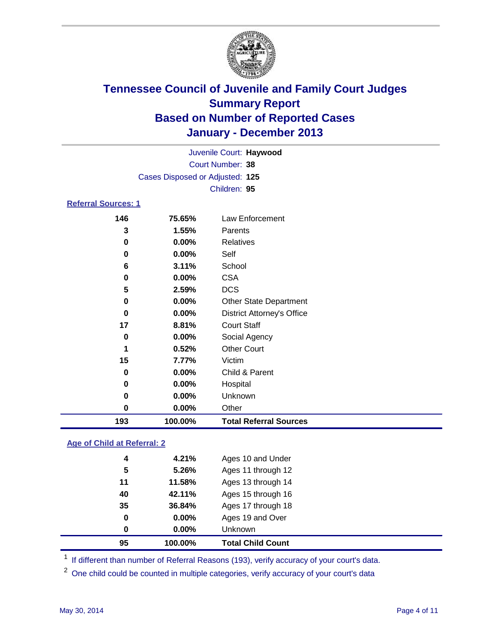

|                            |                                 | Juvenile Court: Haywood |  |
|----------------------------|---------------------------------|-------------------------|--|
|                            |                                 | Court Number: 38        |  |
|                            | Cases Disposed or Adjusted: 125 |                         |  |
|                            |                                 | Children: 95            |  |
| <b>Referral Sources: 1</b> |                                 |                         |  |
| 146                        | 75.65%                          | Law Enforcement         |  |
| ≏                          | 4 EE0/                          | $D^{\alpha}$            |  |

| 193         | 100.00% | <b>Total Referral Sources</b>     |
|-------------|---------|-----------------------------------|
| 0           | 0.00%   | Other                             |
| 0           | 0.00%   | Unknown                           |
| 0           | 0.00%   | Hospital                          |
| 0           | 0.00%   | Child & Parent                    |
| 15          | 7.77%   | Victim                            |
| 1           | 0.52%   | <b>Other Court</b>                |
| 0           | 0.00%   | Social Agency                     |
| 17          | 8.81%   | <b>Court Staff</b>                |
| $\bf{0}$    | 0.00%   | <b>District Attorney's Office</b> |
| 0           | 0.00%   | <b>Other State Department</b>     |
| 5           | 2.59%   | <b>DCS</b>                        |
| $\mathbf 0$ | 0.00%   | <b>CSA</b>                        |
| 6           | 3.11%   | School                            |
| 0           | 0.00%   | Self                              |
| 0           | 0.00%   | Relatives                         |
| 3           | 1.55%   | Parents                           |
|             |         |                                   |

### **Age of Child at Referral: 2**

| 95 | 100.00% | <b>Total Child Count</b> |
|----|---------|--------------------------|
| 0  | 0.00%   | <b>Unknown</b>           |
| 0  | 0.00%   | Ages 19 and Over         |
| 35 | 36.84%  | Ages 17 through 18       |
| 40 | 42.11%  | Ages 15 through 16       |
| 11 | 11.58%  | Ages 13 through 14       |
| 5  | 5.26%   | Ages 11 through 12       |
| 4  | 4.21%   | Ages 10 and Under        |
|    |         |                          |

<sup>1</sup> If different than number of Referral Reasons (193), verify accuracy of your court's data.

<sup>2</sup> One child could be counted in multiple categories, verify accuracy of your court's data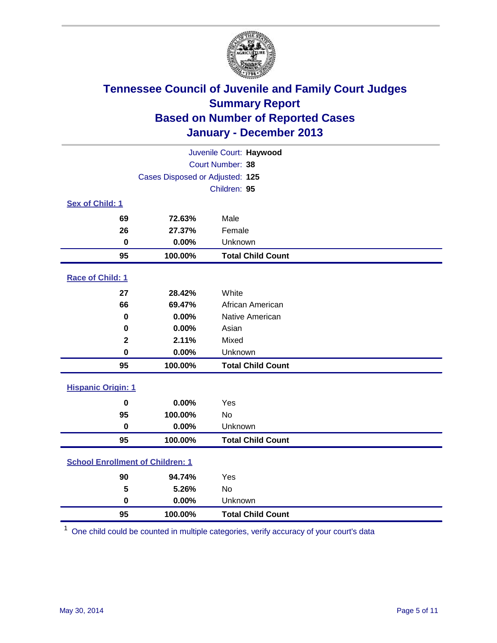

|                                         |                                 | Juvenile Court: Haywood  |
|-----------------------------------------|---------------------------------|--------------------------|
|                                         |                                 | Court Number: 38         |
|                                         | Cases Disposed or Adjusted: 125 |                          |
|                                         |                                 | Children: 95             |
| Sex of Child: 1                         |                                 |                          |
| 69                                      | 72.63%                          | Male                     |
| 26                                      | 27.37%                          | Female                   |
| $\mathbf 0$                             | 0.00%                           | Unknown                  |
| 95                                      | 100.00%                         | <b>Total Child Count</b> |
| Race of Child: 1                        |                                 |                          |
| 27                                      | 28.42%                          | White                    |
| 66                                      | 69.47%                          | African American         |
| $\bf{0}$                                | 0.00%                           | Native American          |
| $\bf{0}$                                | 0.00%                           | Asian                    |
| $\mathbf{2}$                            | 2.11%                           | Mixed                    |
| $\bf{0}$                                | 0.00%                           | Unknown                  |
| 95                                      | 100.00%                         | <b>Total Child Count</b> |
| <b>Hispanic Origin: 1</b>               |                                 |                          |
| 0                                       | 0.00%                           | Yes                      |
| 95                                      | 100.00%                         | <b>No</b>                |
| $\pmb{0}$                               | 0.00%                           | Unknown                  |
| 95                                      | 100.00%                         | <b>Total Child Count</b> |
| <b>School Enrollment of Children: 1</b> |                                 |                          |
| 90                                      | 94.74%                          | Yes                      |
| 5                                       | 5.26%                           | <b>No</b>                |
| $\bf{0}$                                | 0.00%                           | Unknown                  |
| 95                                      | 100.00%                         | <b>Total Child Count</b> |

One child could be counted in multiple categories, verify accuracy of your court's data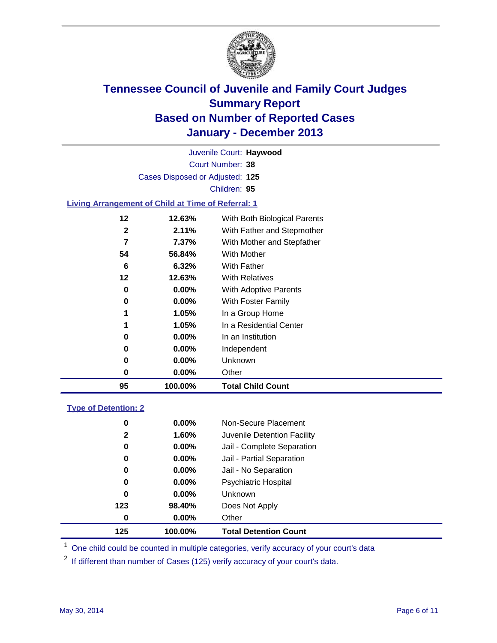

Court Number: **38** Juvenile Court: **Haywood** Cases Disposed or Adjusted: **125** Children: **95**

### **Living Arrangement of Child at Time of Referral: 1**

| 95 | 100.00%  | <b>Total Child Count</b>     |  |
|----|----------|------------------------------|--|
| 0  | $0.00\%$ | Other                        |  |
| 0  | $0.00\%$ | Unknown                      |  |
| 0  | $0.00\%$ | Independent                  |  |
| 0  | $0.00\%$ | In an Institution            |  |
| 1  | 1.05%    | In a Residential Center      |  |
| 1  | 1.05%    | In a Group Home              |  |
| 0  | 0.00%    | With Foster Family           |  |
| 0  | 0.00%    | <b>With Adoptive Parents</b> |  |
| 12 | 12.63%   | <b>With Relatives</b>        |  |
| 6  | 6.32%    | With Father                  |  |
| 54 | 56.84%   | <b>With Mother</b>           |  |
| 7  | 7.37%    | With Mother and Stepfather   |  |
| 2  | 2.11%    | With Father and Stepmother   |  |
| 12 | 12.63%   | With Both Biological Parents |  |
|    |          |                              |  |

### **Type of Detention: 2**

| 125          | 100.00%  | <b>Total Detention Count</b> |  |
|--------------|----------|------------------------------|--|
| 0            | $0.00\%$ | Other                        |  |
| 123          | 98.40%   | Does Not Apply               |  |
| 0            | $0.00\%$ | <b>Unknown</b>               |  |
| 0            | 0.00%    | <b>Psychiatric Hospital</b>  |  |
| 0            | 0.00%    | Jail - No Separation         |  |
| 0            | $0.00\%$ | Jail - Partial Separation    |  |
| 0            | 0.00%    | Jail - Complete Separation   |  |
| $\mathbf{2}$ | 1.60%    | Juvenile Detention Facility  |  |
| 0            | 0.00%    | Non-Secure Placement         |  |
|              |          |                              |  |

<sup>1</sup> One child could be counted in multiple categories, verify accuracy of your court's data

If different than number of Cases (125) verify accuracy of your court's data.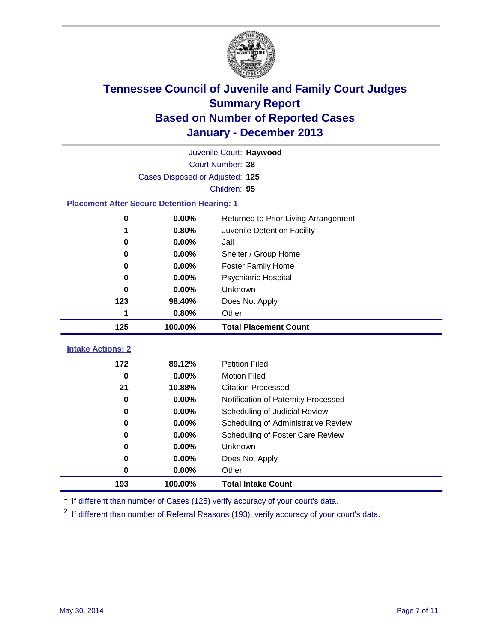

|                                                    |                                 | Juvenile Court: Haywood              |
|----------------------------------------------------|---------------------------------|--------------------------------------|
|                                                    |                                 | Court Number: 38                     |
|                                                    | Cases Disposed or Adjusted: 125 |                                      |
|                                                    |                                 | Children: 95                         |
| <b>Placement After Secure Detention Hearing: 1</b> |                                 |                                      |
| 0                                                  | 0.00%                           | Returned to Prior Living Arrangement |
| 1                                                  | 0.80%                           | Juvenile Detention Facility          |
| 0                                                  | 0.00%                           | Jail                                 |
| 0                                                  | 0.00%                           | Shelter / Group Home                 |
| 0                                                  | 0.00%                           | <b>Foster Family Home</b>            |
| 0                                                  | 0.00%                           | <b>Psychiatric Hospital</b>          |
| 0                                                  | 0.00%                           | Unknown                              |
| 123                                                | 98.40%                          | Does Not Apply                       |
| 1                                                  | 0.80%                           | Other                                |
| 125                                                | 100.00%                         | <b>Total Placement Count</b>         |
|                                                    |                                 |                                      |
| <b>Intake Actions: 2</b>                           |                                 |                                      |
| 172                                                | 89.12%                          | <b>Petition Filed</b>                |
| $\bf{0}$                                           | 0.00%                           | <b>Motion Filed</b>                  |
| 21                                                 | 10.88%                          | <b>Citation Processed</b>            |
| $\bf{0}$                                           | 0.00%                           | Notification of Paternity Processed  |
| $\bf{0}$                                           | 0.00%                           | Scheduling of Judicial Review        |
| 0                                                  | 0.00%                           | Scheduling of Administrative Review  |
| 0                                                  | 0.00%                           | Scheduling of Foster Care Review     |
| $\bf{0}$                                           | 0.00%                           | Unknown                              |
| 0                                                  | 0.00%                           | Does Not Apply                       |
| 0                                                  | 0.00%                           | Other                                |
| 193                                                | 100.00%                         | <b>Total Intake Count</b>            |

<sup>1</sup> If different than number of Cases (125) verify accuracy of your court's data.

<sup>2</sup> If different than number of Referral Reasons (193), verify accuracy of your court's data.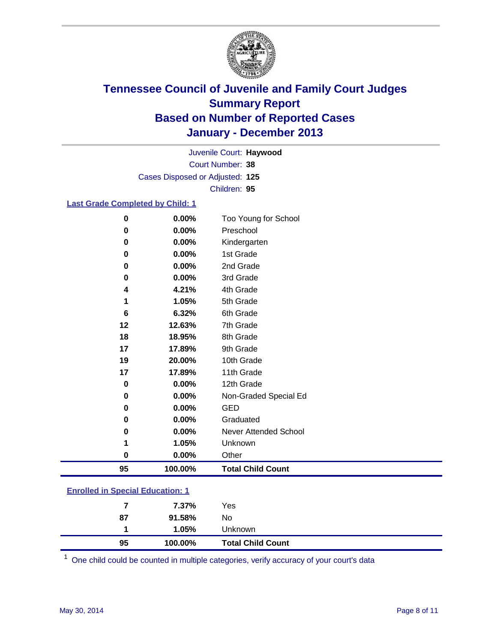

Court Number: **38** Juvenile Court: **Haywood** Cases Disposed or Adjusted: **125** Children: **95**

### **Last Grade Completed by Child: 1**

| 0        | 0.00%    | Too Young for School         |
|----------|----------|------------------------------|
| 0        | $0.00\%$ | Preschool                    |
| 0        | 0.00%    | Kindergarten                 |
| 0        | $0.00\%$ | 1st Grade                    |
| 0        | 0.00%    | 2nd Grade                    |
| 0        | 0.00%    | 3rd Grade                    |
| 4        | 4.21%    | 4th Grade                    |
| 1        | 1.05%    | 5th Grade                    |
| 6        | 6.32%    | 6th Grade                    |
| 12       | 12.63%   | 7th Grade                    |
| 18       | 18.95%   | 8th Grade                    |
| 17       | 17.89%   | 9th Grade                    |
| 19       | 20.00%   | 10th Grade                   |
| 17       | 17.89%   | 11th Grade                   |
| $\bf{0}$ | 0.00%    | 12th Grade                   |
| 0        | 0.00%    | Non-Graded Special Ed        |
| 0        | 0.00%    | <b>GED</b>                   |
| 0        | $0.00\%$ | Graduated                    |
| 0        | $0.00\%$ | <b>Never Attended School</b> |
| 1        | 1.05%    | Unknown                      |
| 0        | $0.00\%$ | Other                        |
| 95       | 100.00%  | <b>Total Child Count</b>     |

| <b>Enrolled in Special Education: 1</b> |
|-----------------------------------------|
|                                         |

| 95 | 100.00% | <b>Total Child Count</b> |  |
|----|---------|--------------------------|--|
| 1  | 1.05%   | Unknown                  |  |
| 87 | 91.58%  | No                       |  |
| 7  | 7.37%   | Yes                      |  |
|    |         |                          |  |

One child could be counted in multiple categories, verify accuracy of your court's data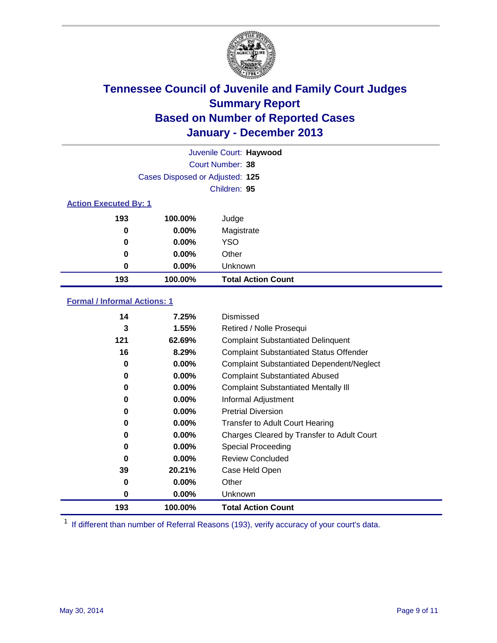

|                              |                                 | Juvenile Court: Haywood   |
|------------------------------|---------------------------------|---------------------------|
|                              |                                 | Court Number: 38          |
|                              | Cases Disposed or Adjusted: 125 |                           |
|                              |                                 | Children: 95              |
| <b>Action Executed By: 1</b> |                                 |                           |
| 193                          | 100.00%                         | Judge                     |
| 0                            | $0.00\%$                        | Magistrate                |
| 0                            | $0.00\%$                        | <b>YSO</b>                |
| 0                            | $0.00\%$                        | Other                     |
| 0                            | $0.00\%$                        | Unknown                   |
| 193                          | 100.00%                         | <b>Total Action Count</b> |

### **Formal / Informal Actions: 1**

| 14       | 7.25%    | Dismissed                                        |
|----------|----------|--------------------------------------------------|
| 3        | 1.55%    | Retired / Nolle Prosequi                         |
| 121      | 62.69%   | <b>Complaint Substantiated Delinquent</b>        |
| 16       | 8.29%    | <b>Complaint Substantiated Status Offender</b>   |
| 0        | $0.00\%$ | <b>Complaint Substantiated Dependent/Neglect</b> |
| 0        | $0.00\%$ | <b>Complaint Substantiated Abused</b>            |
| 0        | $0.00\%$ | <b>Complaint Substantiated Mentally III</b>      |
| 0        | $0.00\%$ | Informal Adjustment                              |
| 0        | $0.00\%$ | <b>Pretrial Diversion</b>                        |
| 0        | $0.00\%$ | <b>Transfer to Adult Court Hearing</b>           |
| 0        | $0.00\%$ | Charges Cleared by Transfer to Adult Court       |
| 0        | $0.00\%$ | Special Proceeding                               |
| $\bf{0}$ | $0.00\%$ | <b>Review Concluded</b>                          |
| 39       | 20.21%   | Case Held Open                                   |
| 0        | $0.00\%$ | Other                                            |
| 0        | $0.00\%$ | <b>Unknown</b>                                   |
| 193      | 100.00%  | <b>Total Action Count</b>                        |

<sup>1</sup> If different than number of Referral Reasons (193), verify accuracy of your court's data.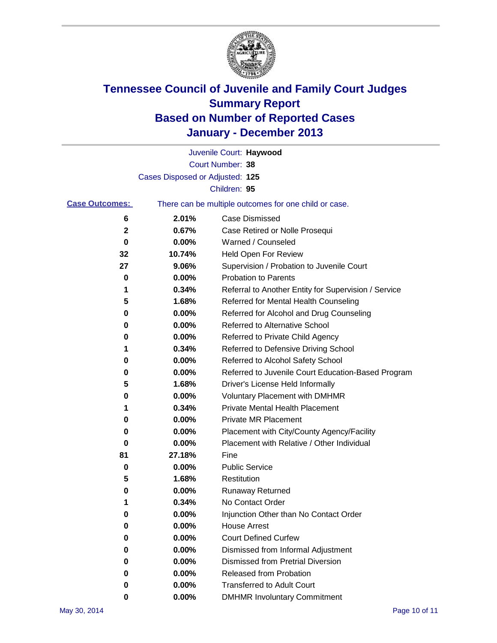

|                       |                                 | Juvenile Court: Haywood                               |
|-----------------------|---------------------------------|-------------------------------------------------------|
|                       |                                 | Court Number: 38                                      |
|                       | Cases Disposed or Adjusted: 125 |                                                       |
|                       |                                 | Children: 95                                          |
| <b>Case Outcomes:</b> |                                 | There can be multiple outcomes for one child or case. |
| 6                     | 2.01%                           | Case Dismissed                                        |
| 2                     | 0.67%                           | Case Retired or Nolle Prosequi                        |
| 0                     | 0.00%                           | Warned / Counseled                                    |
| 32                    | 10.74%                          | <b>Held Open For Review</b>                           |
| 27                    | 9.06%                           | Supervision / Probation to Juvenile Court             |
| 0                     | 0.00%                           | <b>Probation to Parents</b>                           |
| 1                     | 0.34%                           | Referral to Another Entity for Supervision / Service  |
| 5                     | 1.68%                           | Referred for Mental Health Counseling                 |
| 0                     | 0.00%                           | Referred for Alcohol and Drug Counseling              |
| 0                     | 0.00%                           | <b>Referred to Alternative School</b>                 |
| 0                     | 0.00%                           | Referred to Private Child Agency                      |
| 1                     | 0.34%                           | Referred to Defensive Driving School                  |
| 0                     | 0.00%                           | Referred to Alcohol Safety School                     |
| 0                     | 0.00%                           | Referred to Juvenile Court Education-Based Program    |
| 5                     | 1.68%                           | Driver's License Held Informally                      |
| 0                     | 0.00%                           | <b>Voluntary Placement with DMHMR</b>                 |
| 1                     | 0.34%                           | <b>Private Mental Health Placement</b>                |
| 0                     | 0.00%                           | <b>Private MR Placement</b>                           |
| 0                     | 0.00%                           | Placement with City/County Agency/Facility            |
| 0                     | 0.00%                           | Placement with Relative / Other Individual            |
| 81                    | 27.18%                          | Fine                                                  |
| 0                     | 0.00%                           | <b>Public Service</b>                                 |
| 5                     | 1.68%                           | Restitution                                           |
| 0                     | 0.00%                           | <b>Runaway Returned</b>                               |
| 1                     | 0.34%                           | No Contact Order                                      |
| 0                     | 0.00%                           | Injunction Other than No Contact Order                |
| 0                     | 0.00%                           | <b>House Arrest</b>                                   |
| 0                     | 0.00%                           | <b>Court Defined Curfew</b>                           |
| 0                     | 0.00%                           | Dismissed from Informal Adjustment                    |
| 0                     | 0.00%                           | <b>Dismissed from Pretrial Diversion</b>              |
| 0                     | 0.00%                           | Released from Probation                               |
| 0                     | 0.00%                           | <b>Transferred to Adult Court</b>                     |
| 0                     | 0.00%                           | <b>DMHMR Involuntary Commitment</b>                   |